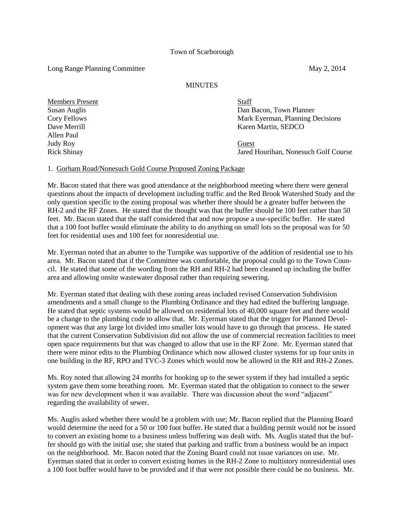## Long Range Planning Committee May 2, 2014

## **MINUTES**

Members Present Staff Allen Paul Judy Roy Guest

Susan Auglis Dan Bacon, Town Planner Cory Fellows **Mark Exerman, Planning Decisions** Dave Merrill Karen Martin, SEDCO

Rick Shinay Jared Hourihan, Nonesuch Golf Course

## 1. Gorham Road/Nonesuch Gold Course Proposed Zoning Package

Mr. Bacon stated that there was good attendance at the neighborhood meeting where there were general questions about the impacts of development including traffic and the Red Brook Watershed Study and the only question specific to the zoning proposal was whether there should be a greater buffer between the RH-2 and the RF Zones. He stated that the thought was that the buffer should be 100 feet rather than 50 feet. Mr. Bacon stated that the staff considered that and now propose a use-specific buffer. He stated that a 100 foot buffer would eliminate the ability to do anything on small lots so the proposal was for 50 feet for residential uses and 100 feet for nonresidential use.

Mr. Eyerman noted that an abutter to the Turnpike was supportive of the addition of residential use to his area. Mr. Bacon stated that if the Committee was comfortable, the proposal could go to the Town Council. He stated that some of the wording from the RH and RH-2 had been cleaned up including the buffer area and allowing onsite wastewater disposal rather than requiring sewering.

Mr. Eyerman stated that dealing with these zoning areas included revised Conservation Subdivision amendments and a small change to the Plumbing Ordinance and they had edited the buffering language. He stated that septic systems would be allowed on residential lots of 40,000 square feet and there would be a change to the plumbing code to allow that. Mr. Eyerman stated that the trigger for Planned Development was that any large lot divided into smaller lots would have to go through that process. He stated that the current Conservation Subdivision did not allow the use of commercial recreation facilities to meet open space requirements but that was changed to allow that use in the RF Zone. Mr. Eyerman stated that there were minor edits to the Plumbing Ordinance which now allowed cluster systems for up four units in one building in the RF, RPO and TVC-3 Zones which would now be allowed in the RH and RH-2 Zones.

Ms. Roy noted that allowing 24 months for hooking up to the sewer system if they had installed a septic system gave them some breathing room. Mr. Eyerman stated that the obligation to connect to the sewer was for new development when it was available. There was discussion about the word "adjacent" regarding the availability of sewer.

Ms. Auglis asked whether there would be a problem with use; Mr. Bacon replied that the Planning Board would determine the need for a 50 or 100 foot buffer. He stated that a building permit would not be issued to convert an existing home to a business unless buffering was dealt with. Ms. Auglis stated that the buffer should go with the initial use; she stated that parking and traffic from a business would be an impact on the neighborhood. Mr. Bacon noted that the Zoning Board could not issue variances on use. Mr. Eyerman stated that in order to convert existing homes in the RH-2 Zone to multistory nonresidential uses a 100 foot buffer would have to be provided and if that were not possible there could be no business. Mr.